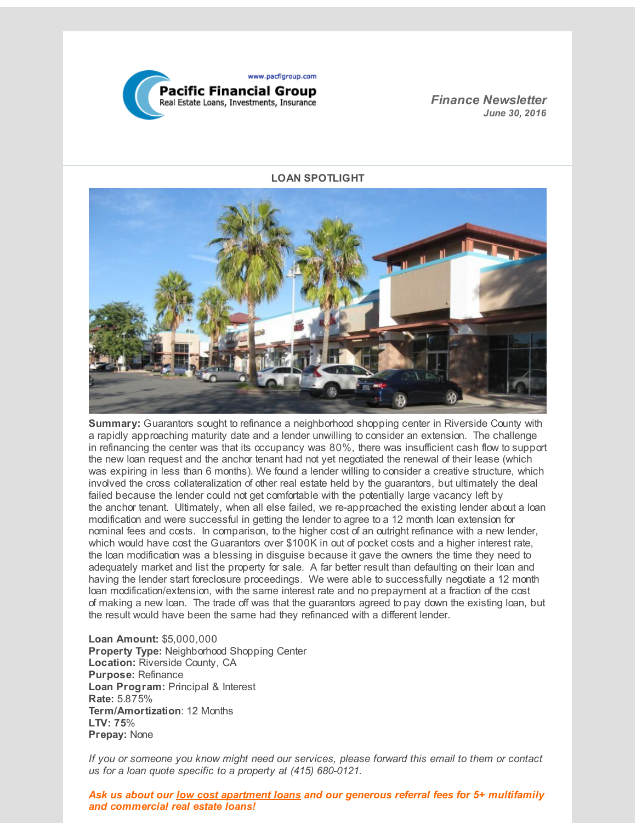

*Finance Newsletter June 30, 2016*

### **LOAN SPOTLIGHT**



**Summary:** Guarantors sought to refinance a neighborhood shopping center in Riverside County with a rapidly approaching maturity date and a lender unwilling to consider an extension. The challenge in refinancing the center was that its occupancy was 80%, there was insufficient cash flow to support the new loan request and the anchor tenant had not yet negotiated the renewal of their lease (which was expiring in less than 6 months). We found a lender willing to consider a creative structure, which involved the cross collateralization of other real estate held by the guarantors, but ultimately the deal failed because the lender could not get comfortable with the potentially large vacancy left by the anchor tenant. Ultimately, when all else failed, we re-approached the existing lender about a loan modification and were successful in getting the lender to agree to a 12 month loan extension for nominal fees and costs. In comparison, to the higher cost of an outright refinance with a new lender, which would have cost the Guarantors over \$100K in out of pocket costs and a higher interest rate, the loan modification was a blessing in disguise because it gave the owners the time they need to adequately market and list the property for sale. A far better result than defaulting on their loan and having the lender start foreclosure proceedings. We were able to successfully negotiate a 12 month loan modification/extension, with the same interest rate and no prepayment at a fraction of the cost of making a new loan. The trade off was that the guarantors agreed to pay down the existing loan, but the result would have been the same had they refinanced with a different lender.

**Loan Amount:** \$5,000,000 **Property Type:** Neighborhood Shopping Center **Location:** Riverside County, CA **Purpose:** Refinance **Loan Program:** Principal & Interest **Rate:** 5.875% **Term/Amortization**: 12 Months **LTV: 75**% **Prepay:** None

*If you or someone you know might need our services, please forward this email to them or contact us for a loan quote specific to a property at (415) 680-0121.*

*Ask us about our low cost apartment loans and our generous referral fees for 5+ multifamily and commercial real estate loans!*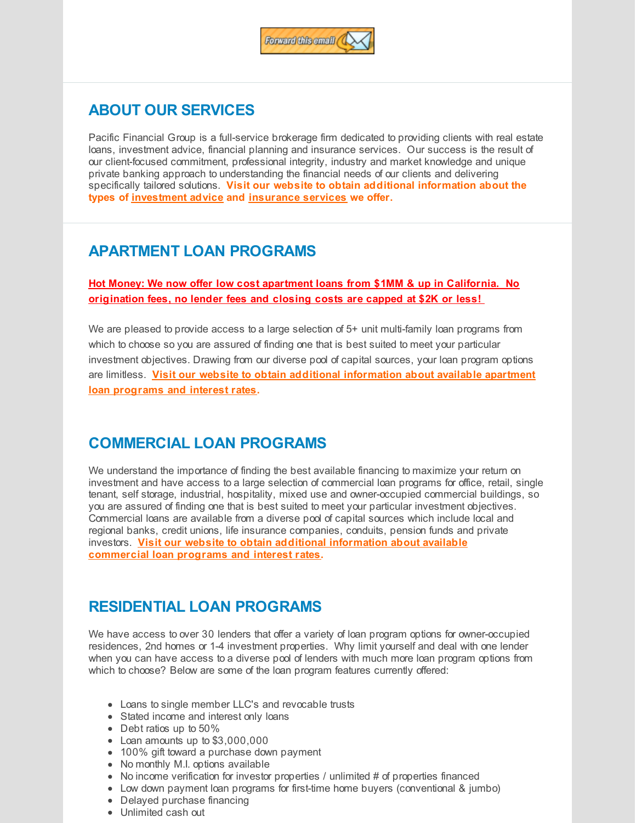

## **ABOUT OUR SERVICES**

Pacific Financial Group is a full-service brokerage firm dedicated to providing clients with real estate loans, investment advice, financial planning and insurance services. Our success is the result of our client-focused commitment, professional integrity, industry and market knowledge and unique private banking approach to understanding the financial needs of our clients and delivering specifically tailored solutions. **Visit our website to obtain additional information about the types of [investment](http://r20.rs6.net/tn.jsp?f=001dSgsTLlGOaVPfVJg_lBYAnSdVwRYVm64sSc8RqrVELjPFEVwH0WVTkdGuADbXu4YzZU54q_kr01S7wiZD9f4qX0bGgSbhsJUuPXZk9h5kvV3irsXRJi1ETdqyHjHrRRPT52iFhw1rulfj7-_kDksbwffZNceGTPKxPDG84yKAkhw-mSB8GkmUxftyqEtHyhToe_cIU3SMTM=&c=&ch=) advice and [insurance](http://r20.rs6.net/tn.jsp?f=001dSgsTLlGOaVPfVJg_lBYAnSdVwRYVm64sSc8RqrVELjPFEVwH0WVTkdGuADbXu4YNVzQHWBP15C2W80GteCecb-S9cl0SR3uPK5GhkNM3Bu9GJKN8T9FmugoqL4gL9KKp6uIvxBhKCHjdI84-VGWsC77ITEa1Z_zEL6JLGhBni0Vfz0XmYPg23_tavy9KAcad3D16xdFH08=&c=&ch=) services we offer.**

# **APARTMENT LOAN PROGRAMS**

**Hot Money: We now offer low cost apartment loans from \$1MM & up in California. No origination fees, no lender fees and closing costs are capped at \$2K or less!**

We are pleased to provide access to a large selection of 5+ unit multi-family loan programs from which to choose so you are assured of finding one that is best suited to meet your particular investment objectives. Drawing from our diverse pool of capital sources, your loan program options are limitless. **Visit our website to obtain additional [information](http://r20.rs6.net/tn.jsp?f=001dSgsTLlGOaVPfVJg_lBYAnSdVwRYVm64sSc8RqrVELjPFEVwH0WVTkdGuADbXu4YZ_205T0gaNDSrYEGIET63IfjTiNtl5hwyrpDKWmfFJxMKK-WZwOYpyPGLFUnE2ut3TtwREzz6aPnkLN3jCquQzTT3ooCKFVKeGOtoaHHSBm9mDXnqDAO_zboFQ2KZJ6Gw6Xe0HJbXxc=&c=&ch=) about available apartment loan programs and interest rates.**

## **COMMERCIAL LOAN PROGRAMS**

We understand the importance of finding the best available financing to maximize your return on investment and have access to a large selection of commercial loan programs for office, retail, single tenant, self storage, industrial, hospitality, mixed use and owner-occupied commercial buildings, so you are assured of finding one that is best suited to meet your particular investment objectives. Commercial loans are available from a diverse pool of capital sources which include local and regional banks, credit unions, life insurance companies, conduits, pension funds and private investors. **Visit our website to obtain additional information about available [commercial](http://r20.rs6.net/tn.jsp?f=001dSgsTLlGOaVPfVJg_lBYAnSdVwRYVm64sSc8RqrVELjPFEVwH0WVTkdGuADbXu4Yq83Sn6f1Z1bNi-H2LlKvFB6h1IyiZoSo9ioLWkf7XpHs7eZgf7egiQ0tjHrzTahqCKQZqKkAndUAc1n9jnYVFpKO9MnshNgiiPAfoQIhallw7HjX_uvjyOpyk9E9Y3NKoZo0HC_cpeM=&c=&ch=) loan programs and interest rates.**

# **RESIDENTIAL LOAN PROGRAMS**

We have access to over 30 lenders that offer a variety of loan program options for owner-occupied residences, 2nd homes or 1-4 investment properties. Why limit yourself and deal with one lender when you can have access to a diverse pool of lenders with much more loan program options from which to choose? Below are some of the loan program features currently offered:

- Loans to single member LLC's and revocable trusts
- Stated income and interest only loans
- Debt ratios up to 50%
- Loan amounts up to \$3,000,000
- 100% gift toward a purchase down payment
- No monthly M.I. options available
- $\bullet$  No income verification for investor properties / unlimited # of properties financed
- Low down payment loan programs for first-time home buyers (conventional & jumbo)
- Delayed purchase financing
- Unlimited cash out